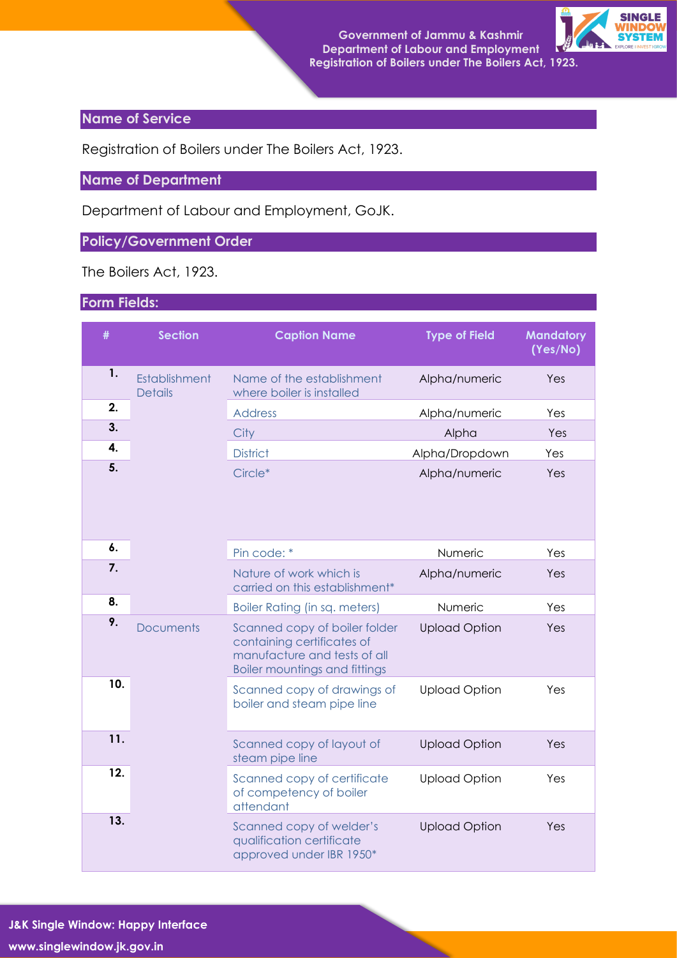

## **Name of Service**

Registration of Boilers under The Boilers Act, 1923.

## **Name of Department**

Department of Labour and Employment, GoJK.

## **Policy/Government Order**

The Boilers Act, 1923.

## **Form Fields:**

| #   | <b>Section</b>                  | <b>Caption Name</b>                                                                                                                 | <b>Type of Field</b> | <b>Mandatory</b><br>(Yes/No) |
|-----|---------------------------------|-------------------------------------------------------------------------------------------------------------------------------------|----------------------|------------------------------|
| 1.  | Establishment<br><b>Details</b> | Name of the establishment<br>where boiler is installed                                                                              | Alpha/numeric        | Yes                          |
| 2.  |                                 | <b>Address</b>                                                                                                                      | Alpha/numeric        | Yes                          |
| 3.  |                                 | City                                                                                                                                | Alpha                | Yes                          |
| 4.  |                                 | <b>District</b>                                                                                                                     | Alpha/Dropdown       | Yes                          |
| 5.  |                                 | Circle*                                                                                                                             | Alpha/numeric        | Yes                          |
| 6.  |                                 | Pin code: *                                                                                                                         | Numeric              | Yes                          |
| 7.  |                                 | Nature of work which is<br>carried on this establishment*                                                                           | Alpha/numeric        | Yes                          |
| 8.  |                                 | Boiler Rating (in sq. meters)                                                                                                       | Numeric              | Yes                          |
| 9.  | <b>Documents</b>                | Scanned copy of boiler folder<br>containing certificates of<br>manufacture and tests of all<br><b>Boiler mountings and fittings</b> | <b>Upload Option</b> | Yes                          |
| 10. |                                 | Scanned copy of drawings of<br>boiler and steam pipe line                                                                           | <b>Upload Option</b> | Yes                          |
| 11. |                                 | Scanned copy of layout of<br>steam pipe line                                                                                        | <b>Upload Option</b> | Yes                          |
| 12. |                                 | Scanned copy of certificate<br>of competency of boiler<br>attendant                                                                 | <b>Upload Option</b> | Yes                          |
| 13. |                                 | Scanned copy of welder's<br>qualification certificate<br>approved under IBR 1950*                                                   | <b>Upload Option</b> | Yes                          |